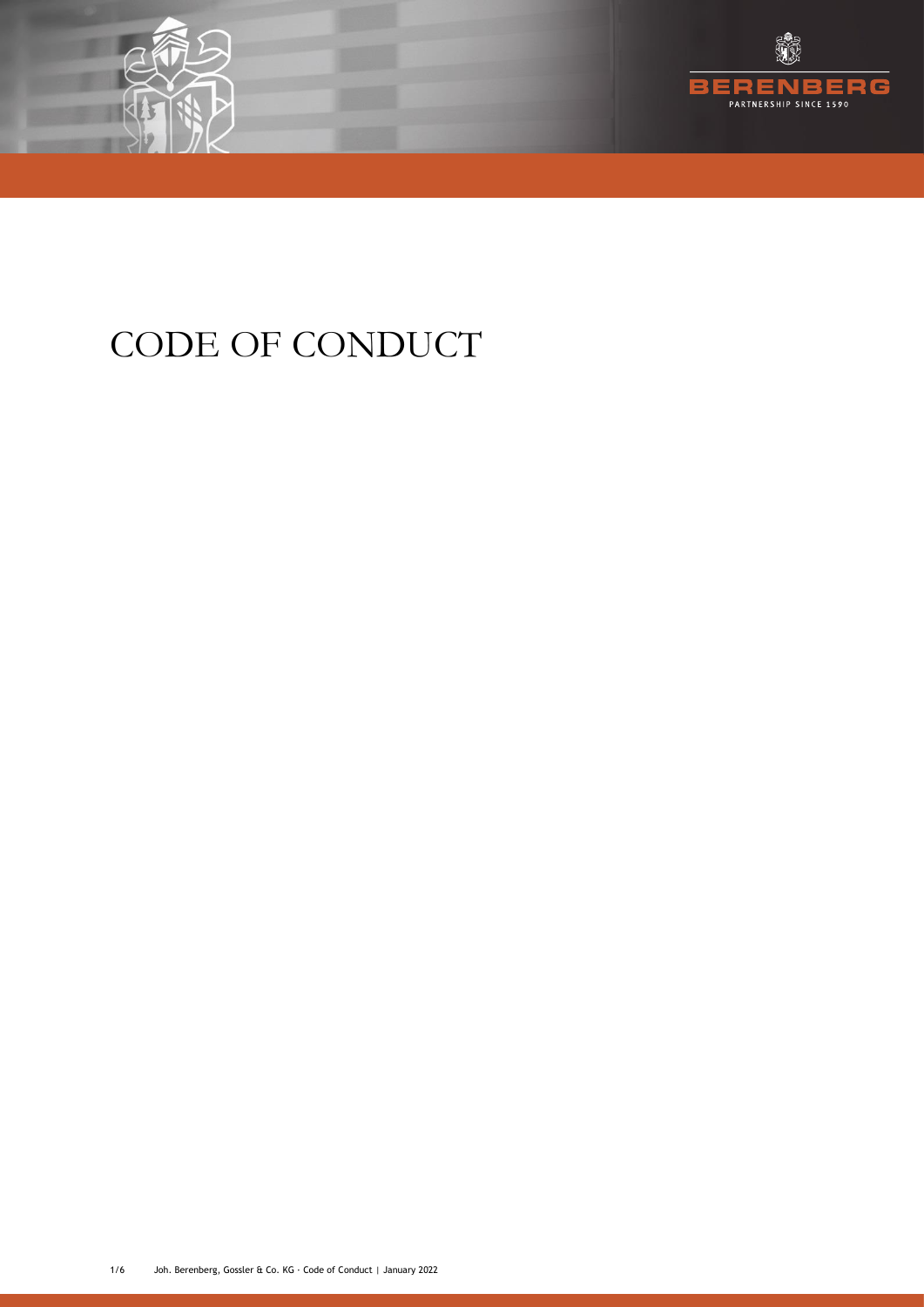



# CODE OF CONDUCT

1/6 Joh. Berenberg, Gossler & Co. KG · Code of Conduct | January 2022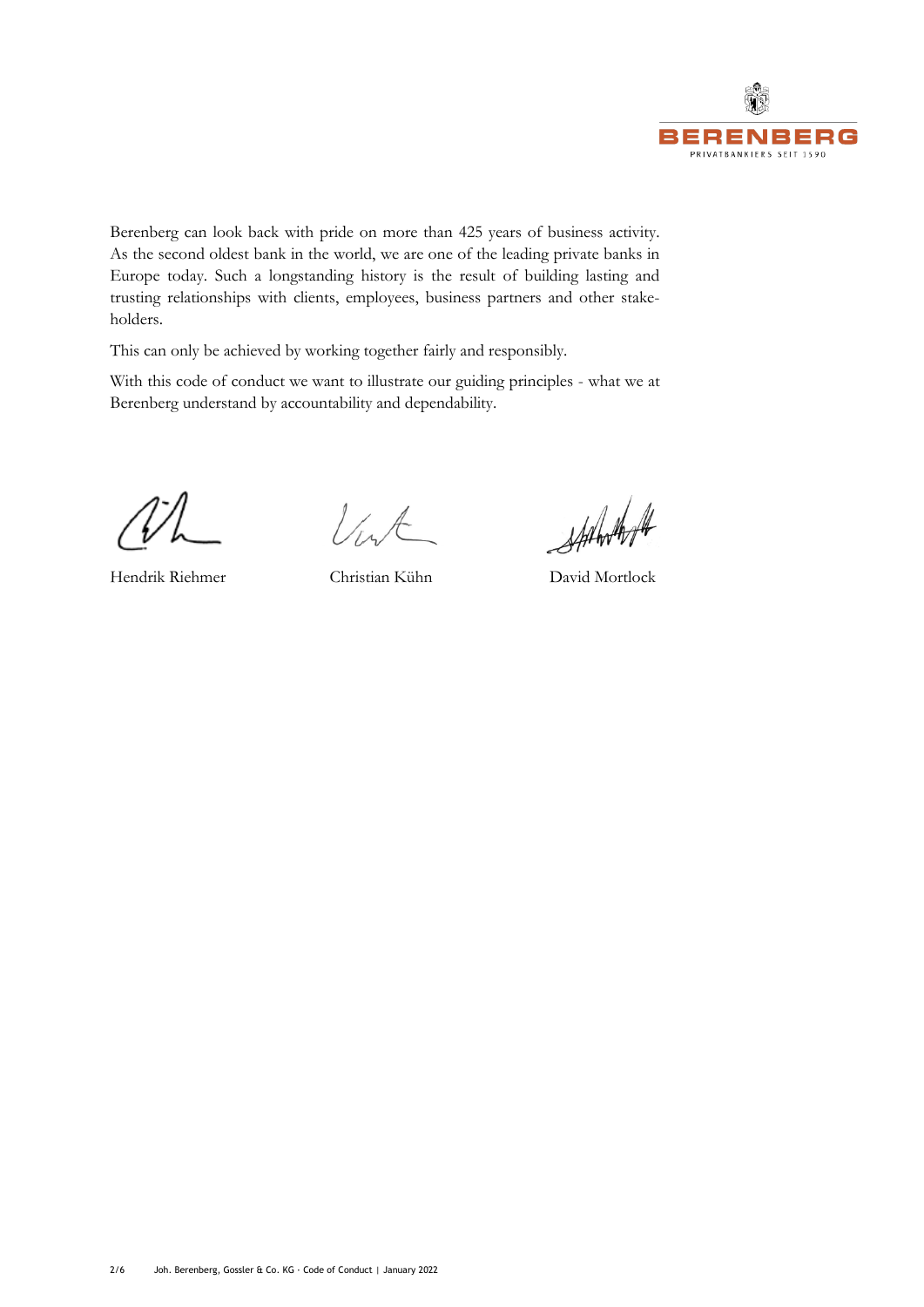

Berenberg can look back with pride on more than 425 years of business activity. As the second oldest bank in the world, we are one of the leading private banks in Europe today. Such a longstanding history is the result of building lasting and trusting relationships with clients, employees, business partners and other stakeholders.

This can only be achieved by working together fairly and responsibly.

With this code of conduct we want to illustrate our guiding principles - what we at Berenberg understand by accountability and dependability.

Vist

Statestoft

Hendrik Riehmer Christian Kühn David Mortlock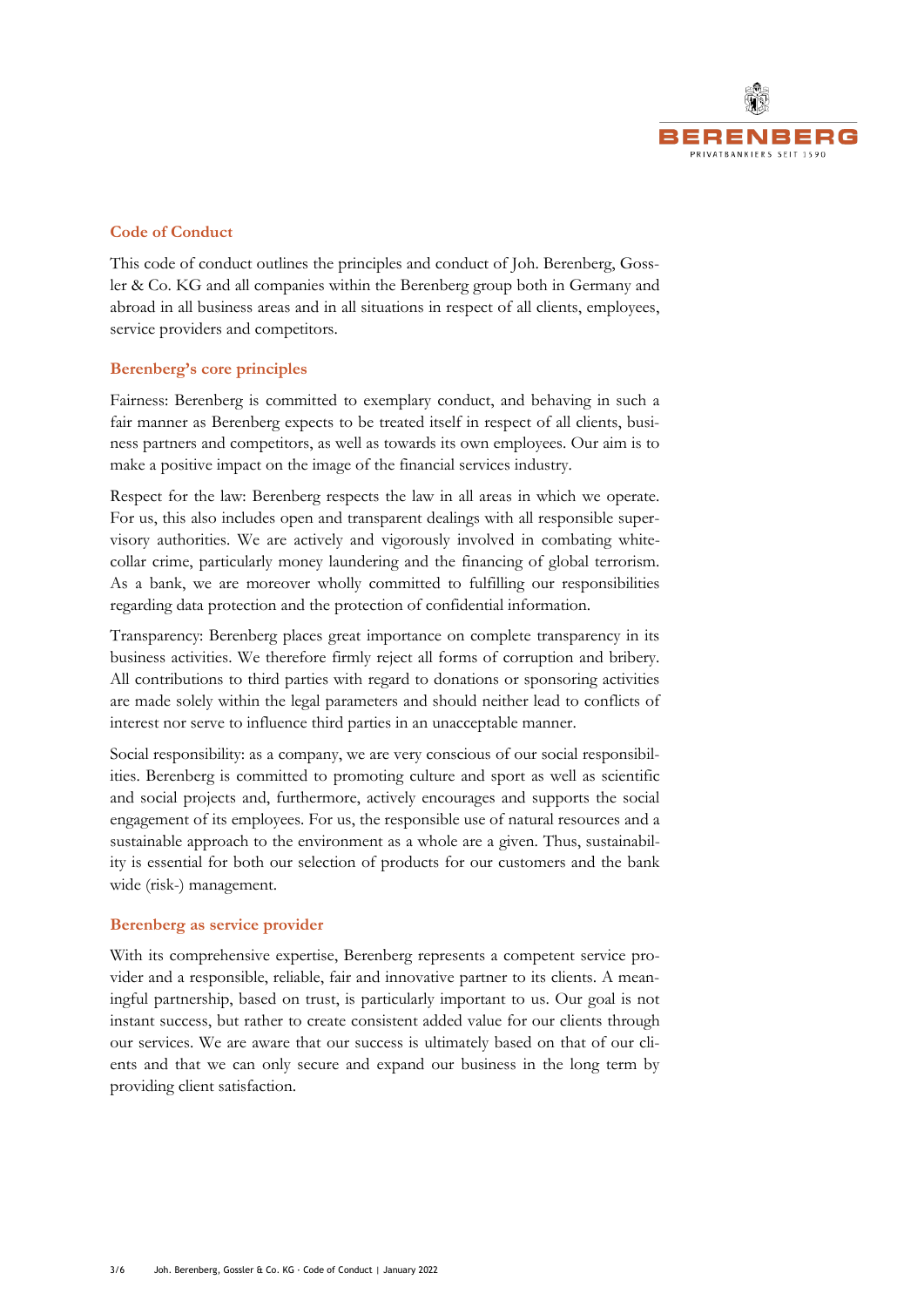

# **Code of Conduct**

This code of conduct outlines the principles and conduct of Joh. Berenberg, Gossler & Co. KG and all companies within the Berenberg group both in Germany and abroad in all business areas and in all situations in respect of all clients, employees, service providers and competitors.

# **Berenberg's core principles**

Fairness: Berenberg is committed to exemplary conduct, and behaving in such a fair manner as Berenberg expects to be treated itself in respect of all clients, business partners and competitors, as well as towards its own employees. Our aim is to make a positive impact on the image of the financial services industry.

Respect for the law: Berenberg respects the law in all areas in which we operate. For us, this also includes open and transparent dealings with all responsible supervisory authorities. We are actively and vigorously involved in combating whitecollar crime, particularly money laundering and the financing of global terrorism. As a bank, we are moreover wholly committed to fulfilling our responsibilities regarding data protection and the protection of confidential information.

Transparency: Berenberg places great importance on complete transparency in its business activities. We therefore firmly reject all forms of corruption and bribery. All contributions to third parties with regard to donations or sponsoring activities are made solely within the legal parameters and should neither lead to conflicts of interest nor serve to influence third parties in an unacceptable manner.

Social responsibility: as a company, we are very conscious of our social responsibilities. Berenberg is committed to promoting culture and sport as well as scientific and social projects and, furthermore, actively encourages and supports the social engagement of its employees. For us, the responsible use of natural resources and a sustainable approach to the environment as a whole are a given. Thus, sustainability is essential for both our selection of products for our customers and the bank wide (risk-) management.

#### **Berenberg as service provider**

With its comprehensive expertise, Berenberg represents a competent service provider and a responsible, reliable, fair and innovative partner to its clients. A meaningful partnership, based on trust, is particularly important to us. Our goal is not instant success, but rather to create consistent added value for our clients through our services. We are aware that our success is ultimately based on that of our clients and that we can only secure and expand our business in the long term by providing client satisfaction.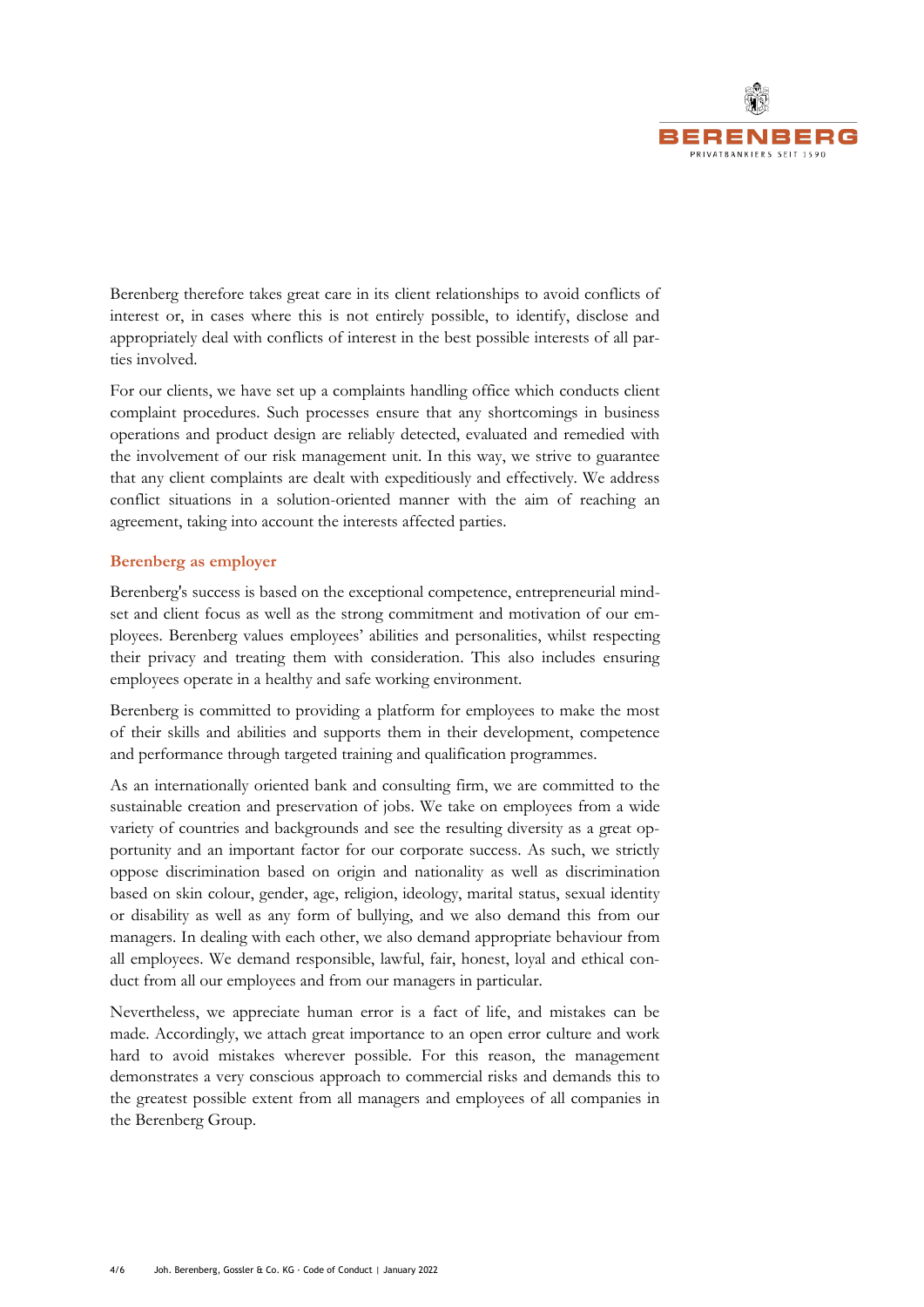

Berenberg therefore takes great care in its client relationships to avoid conflicts of interest or, in cases where this is not entirely possible, to identify, disclose and appropriately deal with conflicts of interest in the best possible interests of all parties involved.

For our clients, we have set up a complaints handling office which conducts client complaint procedures. Such processes ensure that any shortcomings in business operations and product design are reliably detected, evaluated and remedied with the involvement of our risk management unit. In this way, we strive to guarantee that any client complaints are dealt with expeditiously and effectively. We address conflict situations in a solution-oriented manner with the aim of reaching an agreement, taking into account the interests affected parties.

# **Berenberg as employer**

Berenberg's success is based on the exceptional competence, entrepreneurial mindset and client focus as well as the strong commitment and motivation of our employees. Berenberg values employees' abilities and personalities, whilst respecting their privacy and treating them with consideration. This also includes ensuring employees operate in a healthy and safe working environment.

Berenberg is committed to providing a platform for employees to make the most of their skills and abilities and supports them in their development, competence and performance through targeted training and qualification programmes.

As an internationally oriented bank and consulting firm, we are committed to the sustainable creation and preservation of jobs. We take on employees from a wide variety of countries and backgrounds and see the resulting diversity as a great opportunity and an important factor for our corporate success. As such, we strictly oppose discrimination based on origin and nationality as well as discrimination based on skin colour, gender, age, religion, ideology, marital status, sexual identity or disability as well as any form of bullying, and we also demand this from our managers. In dealing with each other, we also demand appropriate behaviour from all employees. We demand responsible, lawful, fair, honest, loyal and ethical conduct from all our employees and from our managers in particular.

Nevertheless, we appreciate human error is a fact of life, and mistakes can be made. Accordingly, we attach great importance to an open error culture and work hard to avoid mistakes wherever possible. For this reason, the management demonstrates a very conscious approach to commercial risks and demands this to the greatest possible extent from all managers and employees of all companies in the Berenberg Group.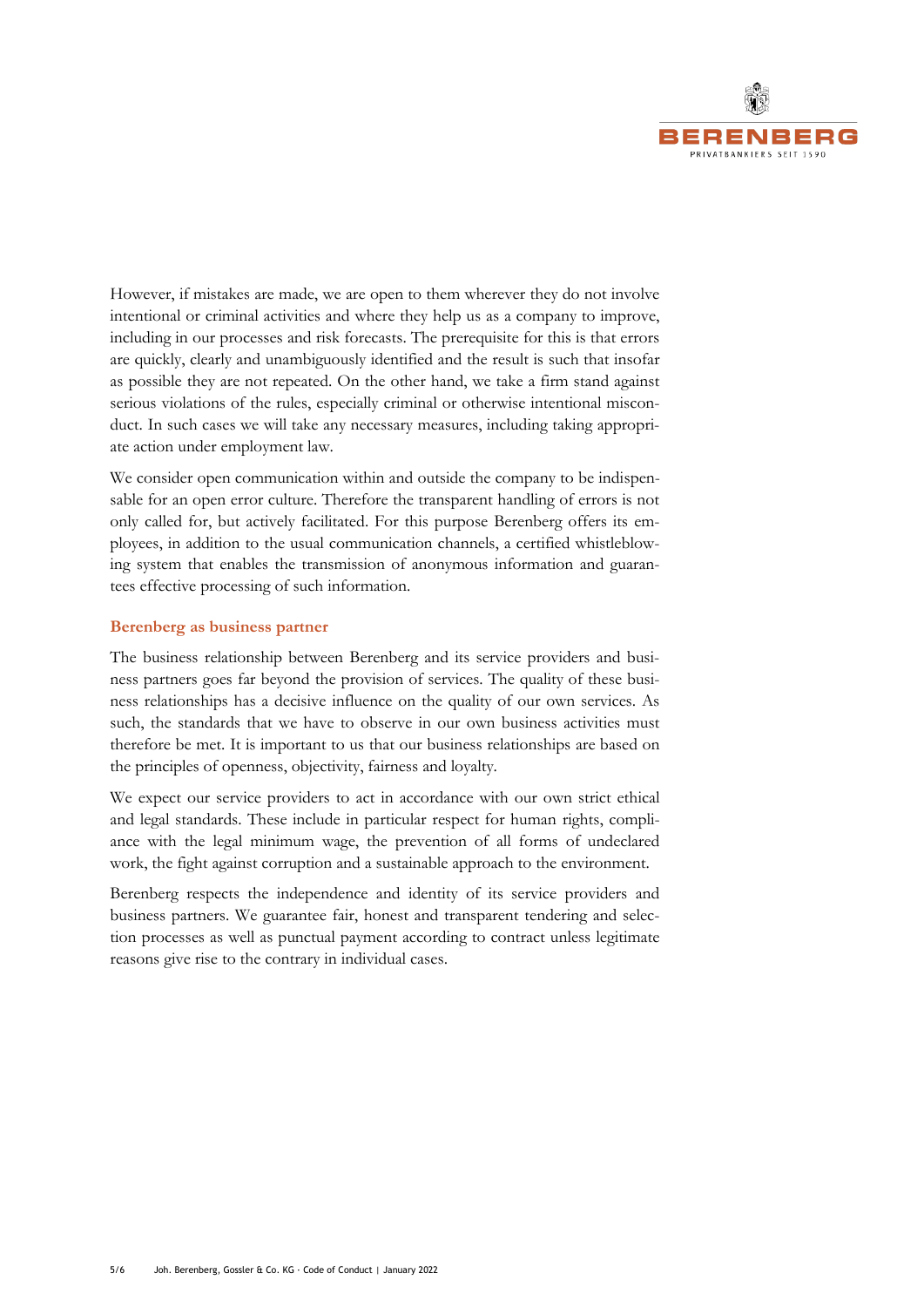

However, if mistakes are made, we are open to them wherever they do not involve intentional or criminal activities and where they help us as a company to improve, including in our processes and risk forecasts. The prerequisite for this is that errors are quickly, clearly and unambiguously identified and the result is such that insofar as possible they are not repeated. On the other hand, we take a firm stand against serious violations of the rules, especially criminal or otherwise intentional misconduct. In such cases we will take any necessary measures, including taking appropriate action under employment law.

We consider open communication within and outside the company to be indispensable for an open error culture. Therefore the transparent handling of errors is not only called for, but actively facilitated. For this purpose Berenberg offers its employees, in addition to the usual communication channels, a certified whistleblowing system that enables the transmission of anonymous information and guarantees effective processing of such information.

# **Berenberg as business partner**

The business relationship between Berenberg and its service providers and business partners goes far beyond the provision of services. The quality of these business relationships has a decisive influence on the quality of our own services. As such, the standards that we have to observe in our own business activities must therefore be met. It is important to us that our business relationships are based on the principles of openness, objectivity, fairness and loyalty.

We expect our service providers to act in accordance with our own strict ethical and legal standards. These include in particular respect for human rights, compliance with the legal minimum wage, the prevention of all forms of undeclared work, the fight against corruption and a sustainable approach to the environment.

Berenberg respects the independence and identity of its service providers and business partners. We guarantee fair, honest and transparent tendering and selection processes as well as punctual payment according to contract unless legitimate reasons give rise to the contrary in individual cases.